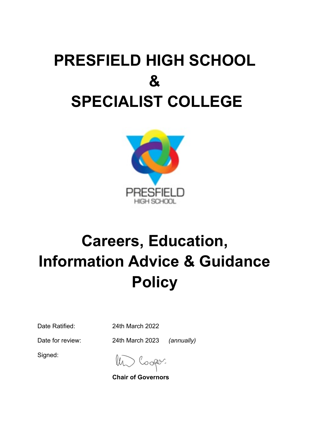# **PRESFIELD HIGH SCHOOL & SPECIALIST COLLEGE**



# **Careers, Education, Information Advice & Guidance Policy**

Date Ratified: 24th March 2022

Date for review: 24th March 2023 *(annually)*

Signed:

**Chair of Governors**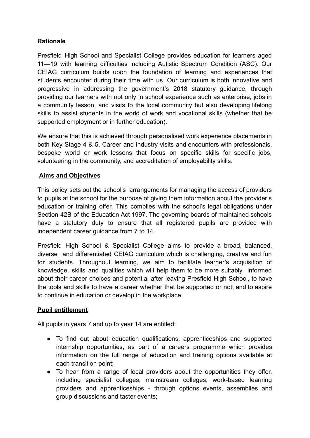# **Rationale**

Presfield High School and Specialist College provides education for learners aged 11—19 with learning difficulties including Autistic Spectrum Condition (ASC). Our CEIAG curriculum builds upon the foundation of learning and experiences that students encounter during their time with us. Our curriculum is both innovative and progressive in addressing the government's 2018 statutory guidance, through providing our learners with not only in school experience such as enterprise, jobs in a community lesson, and visits to the local community but also developing lifelong skills to assist students in the world of work and vocational skills (whether that be supported employment or in further education).

We ensure that this is achieved through personalised work experience placements in both Key Stage 4 & 5. Career and industry visits and encounters with professionals, bespoke world or work lessons that focus on specific skills for specific jobs, volunteering in the community, and accreditation of employability skills.

### **Aims and Objectives**

This policy sets out the school's arrangements for managing the access of providers to pupils at the school for the purpose of giving them information about the provider's education or training offer. This complies with the school's legal obligations under Section 42B of the Education Act 1997. The governing boards of maintained schools have a statutory duty to ensure that all registered pupils are provided with independent career guidance from 7 to 14.

Presfield High School & Specialist College aims to provide a broad, balanced, diverse and differentiated CEIAG curriculum which is challenging, creative and fun for students. Throughout learning, we aim to facilitate learner's acquisition of knowledge, skills and qualities which will help them to be more suitably informed about their career choices and potential after leaving Presfield High School, to have the tools and skills to have a career whether that be supported or not, and to aspire to continue in education or develop in the workplace.

### **Pupil entitlement**

All pupils in years 7 and up to year 14 are entitled:

- To find out about education qualifications, apprenticeships and supported internship opportunities, as part of a careers programme which provides information on the full range of education and training options available at each transition point;
- To hear from a range of local providers about the opportunities they offer, including specialist colleges, mainstream colleges, work-based learning providers and apprenticeships - through options events, assemblies and group discussions and taster events;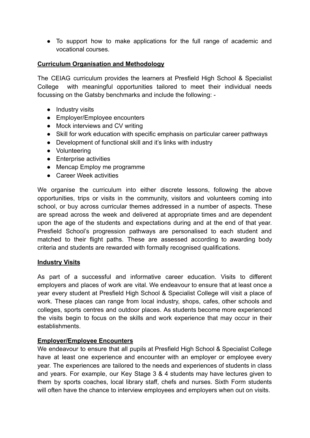● To support how to make applications for the full range of academic and vocational courses.

### **Curriculum Organisation and Methodology**

The CEIAG curriculum provides the learners at Presfield High School & Specialist College with meaningful opportunities tailored to meet their individual needs focussing on the Gatsby benchmarks and include the following: -

- Industry visits
- Employer/Employee encounters
- Mock interviews and CV writing
- Skill for work education with specific emphasis on particular career pathways
- Development of functional skill and it's links with industry
- Volunteering
- Enterprise activities
- Mencap Employ me programme
- Career Week activities

We organise the curriculum into either discrete lessons, following the above opportunities, trips or visits in the community, visitors and volunteers coming into school, or buy across curricular themes addressed in a number of aspects. These are spread across the week and delivered at appropriate times and are dependent upon the age of the students and expectations during and at the end of that year. Presfield School's progression pathways are personalised to each student and matched to their flight paths. These are assessed according to awarding body criteria and students are rewarded with formally recognised qualifications.

### **Industry Visits**

As part of a successful and informative career education. Visits to different employers and places of work are vital. We endeavour to ensure that at least once a year every student at Presfield High School & Specialist College will visit a place of work. These places can range from local industry, shops, cafes, other schools and colleges, sports centres and outdoor places. As students become more experienced the visits begin to focus on the skills and work experience that may occur in their establishments.

### **Employer/Employee Encounters**

We endeavour to ensure that all pupils at Presfield High School & Specialist College have at least one experience and encounter with an employer or employee every year. The experiences are tailored to the needs and experiences of students in class and years. For example, our Key Stage 3 & 4 students may have lectures given to them by sports coaches, local library staff, chefs and nurses. Sixth Form students will often have the chance to interview employees and employers when out on visits.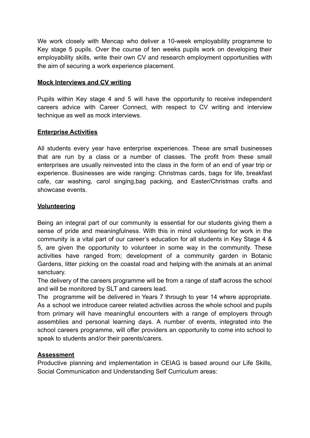We work closely with Mencap who deliver a 10-week employability programme to Key stage 5 pupils. Over the course of ten weeks pupils work on developing their employability skills, write their own CV and research employment opportunities with the aim of securing a work experience placement.

# **Mock Interviews and CV writing**

Pupils within Key stage 4 and 5 will have the opportunity to receive independent careers advice with Career Connect, with respect to CV writing and interview technique as well as mock interviews.

# **Enterprise Activities**

All students every year have enterprise experiences. These are small businesses that are run by a class or a number of classes. The profit from these small enterprises are usually reinvested into the class in the form of an end of year trip or experience. Businesses are wide ranging: Christmas cards, bags for life, breakfast cafe, car washing, carol singing,bag packing, and Easter/Christmas crafts and showcase events.

# **Volunteering**

Being an integral part of our community is essential for our students giving them a sense of pride and meaningfulness. With this in mind volunteering for work in the community is a vital part of our career's education for all students in Key Stage 4 & 5, are given the opportunity to volunteer in some way in the community. These activities have ranged from; development of a community garden in Botanic Gardens, litter picking on the coastal road and helping with the animals at an animal sanctuary.

The delivery of the careers programme will be from a range of staff across the school and will be monitored by SLT and careers lead.

The programme will be delivered in Years 7 through to year 14 where appropriate. As a school we introduce career related activities across the whole school and pupils from primary will have meaningful encounters with a range of employers through assemblies and personal learning days. A number of events, integrated into the school careers programme, will offer providers an opportunity to come into school to speak to students and/or their parents/carers.

# **Assessment**

Productive planning and implementation in CEIAG is based around our Life Skills, Social Communication and Understanding Self Curriculum areas: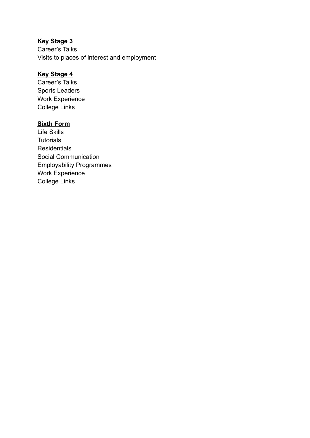# **Key Stage 3**

Career's Talks Visits to places of interest and employment

# **Key Stage 4**

Career's Talks Sports Leaders Work Experience College Links

## **Sixth Form**

Life Skills **Tutorials Residentials** Social Communication Employability Programmes Work Experience College Links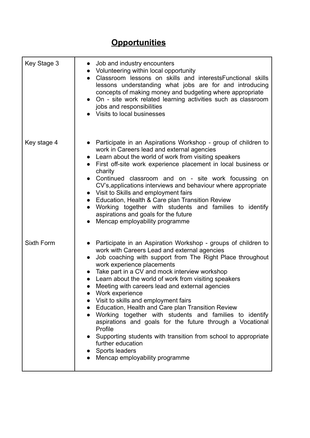# **Opportunities**

| Key Stage 3 | Job and industry encounters<br>$\bullet$<br>• Volunteering within local opportunity<br>Classroom lessons on skills and interests Functional skills<br>$\bullet$<br>lessons understanding what jobs are for and introducing<br>concepts of making money and budgeting where appropriate<br>• On - site work related learning activities such as classroom<br>jobs and responsibilities<br>Visits to local businesses                                                                                                                                                                                                                                                                                                                                                |
|-------------|--------------------------------------------------------------------------------------------------------------------------------------------------------------------------------------------------------------------------------------------------------------------------------------------------------------------------------------------------------------------------------------------------------------------------------------------------------------------------------------------------------------------------------------------------------------------------------------------------------------------------------------------------------------------------------------------------------------------------------------------------------------------|
| Key stage 4 | • Participate in an Aspirations Workshop - group of children to<br>work in Careers lead and external agencies<br>Learn about the world of work from visiting speakers<br>First off-site work experience placement in local business or<br>charity<br>Continued classroom and on - site work focussing on<br>CV's, applications interviews and behaviour where appropriate<br>• Visit to Skills and employment fairs<br>Education, Health & Care plan Transition Review<br>$\bullet$<br>Working together with students and families to identify<br>aspirations and goals for the future<br>Mencap employability programme                                                                                                                                           |
| Sixth Form  | Participate in an Aspiration Workshop - groups of children to<br>work with Careers Lead and external agencies<br>Job coaching with support from The Right Place throughout<br>work experience placements<br>Take part in a CV and mock interview workshop<br>Learn about the world of work from visiting speakers<br>Meeting with careers lead and external agencies<br>Work experience<br>Visit to skills and employment fairs<br>Education, Health and Care plan Transition Review<br>Working together with students and families to identify<br>aspirations and goals for the future through a Vocational<br>Profile<br>Supporting students with transition from school to appropriate<br>further education<br>Sports leaders<br>Mencap employability programme |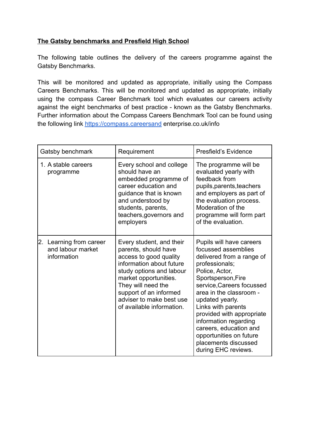# **The Gatsby benchmarks and Presfield High School**

The following table outlines the delivery of the careers programme against the Gatsby Benchmarks.

This will be monitored and updated as appropriate, initially using the Compass Careers Benchmarks. This will be monitored and updated as appropriate, initially using the compass Career Benchmark tool which evaluates our careers activity against the eight benchmarks of best practice - known as the Gatsby Benchmarks. Further information about the Compass Careers Benchmark Tool can be found using the following link <https://compass.careersand> enterprise.co.uk/info

| Gatsby benchmark                                            | Requirement                                                                                                                                                                                                                                                          | <b>Presfield's Evidence</b>                                                                                                                                                                                                                                                                                                                                                                       |
|-------------------------------------------------------------|----------------------------------------------------------------------------------------------------------------------------------------------------------------------------------------------------------------------------------------------------------------------|---------------------------------------------------------------------------------------------------------------------------------------------------------------------------------------------------------------------------------------------------------------------------------------------------------------------------------------------------------------------------------------------------|
| 1. A stable careers<br>programme                            | Every school and college<br>should have an<br>embedded programme of<br>career education and<br>guidance that is known<br>and understood by<br>students, parents,<br>teachers, governors and<br>employers                                                             | The programme will be<br>evaluated yearly with<br>feedback from<br>pupils, parents, teachers<br>and employers as part of<br>the evaluation process.<br>Moderation of the<br>programme will form part<br>of the evaluation.                                                                                                                                                                        |
| 2. Learning from career<br>and labour market<br>information | Every student, and their<br>parents, should have<br>access to good quality<br>information about future<br>study options and labour<br>market opportunities.<br>They will need the<br>support of an informed<br>adviser to make best use<br>of available information. | Pupils will have careers<br>focussed assemblies<br>delivered from a range of<br>professionals;<br>Police, Actor,<br>Sportsperson, Fire<br>service, Careers focussed<br>area in the classroom -<br>updated yearly.<br>Links with parents<br>provided with appropriate<br>information regarding<br>careers, education and<br>opportunities on future<br>placements discussed<br>during EHC reviews. |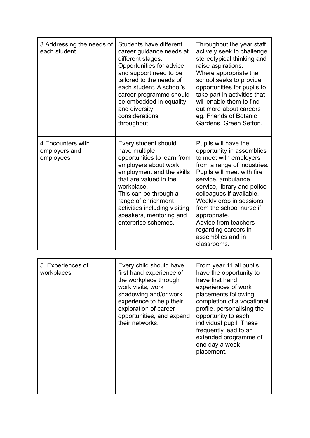| 3. Addressing the needs of<br>each student       | Students have different<br>career guidance needs at<br>different stages.<br>Opportunities for advice<br>and support need to be<br>tailored to the needs of<br>each student. A school's<br>career programme should<br>be embedded in equality<br>and diversity<br>considerations<br>throughout.        | Throughout the year staff<br>actively seek to challenge<br>stereotypical thinking and<br>raise aspirations.<br>Where appropriate the<br>school seeks to provide<br>opportunities for pupils to<br>take part in activities that<br>will enable them to find<br>out more about careers<br>eg. Friends of Botanic<br>Gardens, Green Sefton.                                             |
|--------------------------------------------------|-------------------------------------------------------------------------------------------------------------------------------------------------------------------------------------------------------------------------------------------------------------------------------------------------------|--------------------------------------------------------------------------------------------------------------------------------------------------------------------------------------------------------------------------------------------------------------------------------------------------------------------------------------------------------------------------------------|
| 4. Encounters with<br>employers and<br>employees | Every student should<br>have multiple<br>opportunities to learn from<br>employers about work,<br>employment and the skills<br>that are valued in the<br>workplace.<br>This can be through a<br>range of enrichment<br>activities including visiting<br>speakers, mentoring and<br>enterprise schemes. | Pupils will have the<br>opportunity in assemblies<br>to meet with employers<br>from a range of industries.<br>Pupils will meet with fire<br>service, ambulance<br>service, library and police<br>colleagues if available.<br>Weekly drop in sessions<br>from the school nurse if<br>appropriate.<br>Advice from teachers<br>regarding careers in<br>assemblies and in<br>classrooms. |

| have first hand<br>work visits, work<br>experiences of work<br>shadowing and/or work<br>placements following<br>experience to help their<br>exploration of career<br>opportunities, and expand<br>opportunity to each<br>their networks.<br>individual pupil. These<br>frequently lead to an<br>one day a week<br>placement. | 5. Experiences of<br>workplaces | Every child should have<br>first hand experience of<br>the workplace through | From year 11 all pupils<br>have the opportunity to<br>completion of a vocational<br>profile, personalising the<br>extended programme of |
|------------------------------------------------------------------------------------------------------------------------------------------------------------------------------------------------------------------------------------------------------------------------------------------------------------------------------|---------------------------------|------------------------------------------------------------------------------|-----------------------------------------------------------------------------------------------------------------------------------------|
|------------------------------------------------------------------------------------------------------------------------------------------------------------------------------------------------------------------------------------------------------------------------------------------------------------------------------|---------------------------------|------------------------------------------------------------------------------|-----------------------------------------------------------------------------------------------------------------------------------------|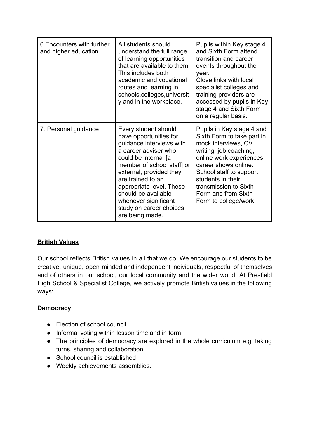| 6. Encounters with further<br>and higher education | All students should<br>understand the full range<br>of learning opportunities<br>that are available to them.<br>This includes both<br>academic and vocational<br>routes and learning in<br>schools, colleges, universit<br>y and in the workplace.                                                                                | Pupils within Key stage 4<br>and Sixth Form attend<br>transition and career<br>events throughout the<br>year.<br>Close links with local<br>specialist colleges and<br>training providers are<br>accessed by pupils in Key<br>stage 4 and Sixth Form<br>on a regular basis.            |
|----------------------------------------------------|-----------------------------------------------------------------------------------------------------------------------------------------------------------------------------------------------------------------------------------------------------------------------------------------------------------------------------------|---------------------------------------------------------------------------------------------------------------------------------------------------------------------------------------------------------------------------------------------------------------------------------------|
| 7. Personal guidance                               | Every student should<br>have opportunities for<br>guidance interviews with<br>a career adviser who<br>could be internal [a<br>member of school staff] or<br>external, provided they<br>are trained to an<br>appropriate level. These<br>should be available<br>whenever significant<br>study on career choices<br>are being made. | Pupils in Key stage 4 and<br>Sixth Form to take part in<br>mock interviews, CV<br>writing, job coaching,<br>online work experiences,<br>career shows online.<br>School staff to support<br>students in their<br>transmission to Sixth<br>Form and from Sixth<br>Form to college/work. |

# **British Values**

Our school reflects British values in all that we do. We encourage our students to be creative, unique, open minded and independent individuals, respectful of themselves and of others in our school, our local community and the wider world. At Presfield High School & Specialist College, we actively promote British values in the following ways:

# **Democracy**

- Election of school council
- Informal voting within lesson time and in form
- The principles of democracy are explored in the whole curriculum e.g. taking turns, sharing and collaboration.
- School council is established
- Weekly achievements assemblies.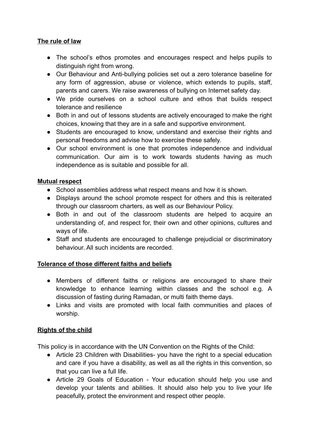# **The rule of law**

- The school's ethos promotes and encourages respect and helps pupils to distinguish right from wrong.
- Our Behaviour and Anti-bullying policies set out a zero tolerance baseline for any form of aggression, abuse or violence, which extends to pupils, staff, parents and carers. We raise awareness of bullying on Internet safety day.
- We pride ourselves on a school culture and ethos that builds respect tolerance and resilience
- Both in and out of lessons students are actively encouraged to make the right choices, knowing that they are in a safe and supportive environment.
- Students are encouraged to know, understand and exercise their rights and personal freedoms and advise how to exercise these safely.
- Our school environment is one that promotes independence and individual communication. Our aim is to work towards students having as much independence as is suitable and possible for all.

### **Mutual respect**

- School assemblies address what respect means and how it is shown.
- Displays around the school promote respect for others and this is reiterated through our classroom charters, as well as our Behaviour Policy.
- Both in and out of the classroom students are helped to acquire an understanding of, and respect for, their own and other opinions, cultures and ways of life.
- Staff and students are encouraged to challenge prejudicial or discriminatory behaviour. All such incidents are recorded.

### **Tolerance of those different faiths and beliefs**

- Members of different faiths or religions are encouraged to share their knowledge to enhance learning within classes and the school e.g. A discussion of fasting during Ramadan, or multi faith theme days.
- Links and visits are promoted with local faith communities and places of worship.

# **Rights of the child**

This policy is in accordance with the UN Convention on the Rights of the Child:

- Article 23 Children with Disabilities- you have the right to a special education and care if you have a disability, as well as all the rights in this convention, so that you can live a full life.
- Article 29 Goals of Education Your education should help you use and develop your talents and abilities. It should also help you to live your life peacefully, protect the environment and respect other people.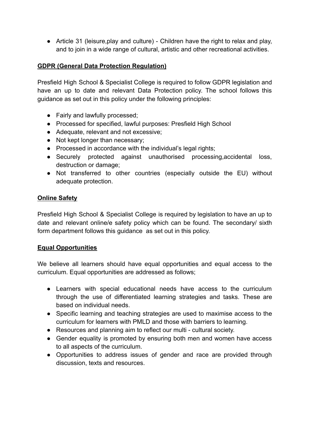● Article 31 (leisure,play and culture) - Children have the right to relax and play, and to join in a wide range of cultural, artistic and other recreational activities.

# **GDPR (General Data Protection Regulation)**

Presfield High School & Specialist College is required to follow GDPR legislation and have an up to date and relevant Data Protection policy. The school follows this guidance as set out in this policy under the following principles:

- Fairly and lawfully processed;
- Processed for specified, lawful purposes: Presfield High School
- Adequate, relevant and not excessive;
- Not kept longer than necessary;
- Processed in accordance with the individual's legal rights;
- Securely protected against unauthorised processing,accidental loss, destruction or damage;
- Not transferred to other countries (especially outside the EU) without adequate protection.

# **Online Safety**

Presfield High School & Specialist College is required by legislation to have an up to date and relevant online/e safety policy which can be found. The secondary/ sixth form department follows this guidance as set out in this policy.

### **Equal Opportunities**

We believe all learners should have equal opportunities and equal access to the curriculum. Equal opportunities are addressed as follows;

- Learners with special educational needs have access to the curriculum through the use of differentiated learning strategies and tasks. These are based on individual needs.
- Specific learning and teaching strategies are used to maximise access to the curriculum for learners with PMLD and those with barriers to learning.
- Resources and planning aim to reflect our multi cultural society.
- Gender equality is promoted by ensuring both men and women have access to all aspects of the curriculum.
- Opportunities to address issues of gender and race are provided through discussion, texts and resources.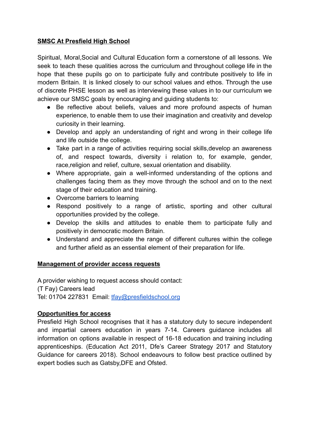# **SMSC At Presfield High School**

Spiritual, Moral,Social and Cultural Education form a cornerstone of all lessons. We seek to teach these qualities across the curriculum and throughout college life in the hope that these pupils go on to participate fully and contribute positively to life in modern Britain. It is linked closely to our school values and ethos. Through the use of discrete PHSE lesson as well as interviewing these values in to our curriculum we achieve our SMSC goals by encouraging and guiding students to:

- Be reflective about beliefs, values and more profound aspects of human experience, to enable them to use their imagination and creativity and develop curiosity in their learning.
- Develop and apply an understanding of right and wrong in their college life and life outside the college.
- Take part in a range of activities requiring social skills,develop an awareness of, and respect towards, diversity i relation to, for example, gender, race,religion and relief, culture, sexual orientation and disability.
- Where appropriate, gain a well-informed understanding of the options and challenges facing them as they move through the school and on to the next stage of their education and training.
- Overcome barriers to learning
- Respond positively to a range of artistic, sporting and other cultural opportunities provided by the college.
- Develop the skills and attitudes to enable them to participate fully and positively in democratic modern Britain.
- Understand and appreciate the range of different cultures within the college and further afield as an essential element of their preparation for life.

### **Management of provider access requests**

A provider wishing to request access should contact: (T Fay) Careers lead Tel: 01704 227831 Email: [tfay@presfieldschool.org](mailto:tfay@presfieldschool.org)

### **Opportunities for access**

Presfield High School recognises that it has a statutory duty to secure independent and impartial careers education in years 7-14. Careers guidance includes all information on options available in respect of 16-18 education and training including apprenticeships. (Education Act 2011, Dfe's Career Strategy 2017 and Statutory Guidance for careers 2018). School endeavours to follow best practice outlined by expert bodies such as Gatsby,DFE and Ofsted.